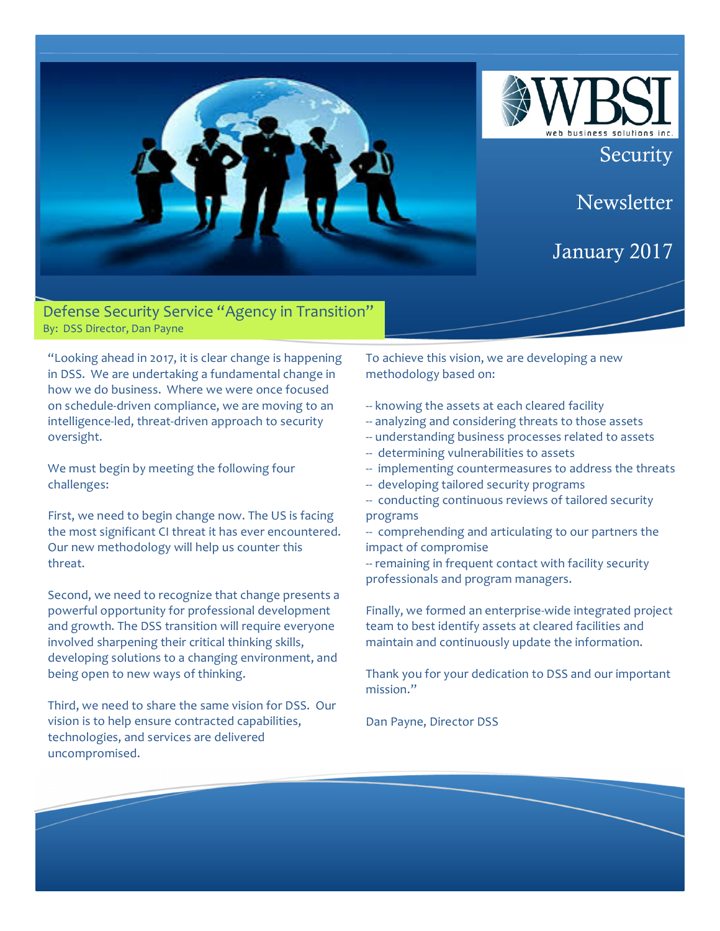

Defense Security Service "Agency in Transition" By: DSS Director, Dan Payne

"Looking ahead in 2017, it is clear change is happening in DSS. We are undertaking a fundamental change in how we do business. Where we were once focused on schedule-driven compliance, we are moving to an intelligence-led, threat-driven approach to security oversight.

We must begin by meeting the following four challenges:

First, we need to begin change now. The US is facing the most significant CI threat it has ever encountered. Our new methodology will help us counter this threat.

Second, we need to recognize that change presents a powerful opportunity for professional development and growth. The DSS transition will require everyone involved sharpening their critical thinking skills, developing solutions to a changing environment, and being open to new ways of thinking.

Third, we need to share the same vision for DSS. Our vision is to help ensure contracted capabilities, technologies, and services are delivered uncompromised.

To achieve this vision, we are developing a new methodology based on:

- -- knowing the assets at each cleared facility
- -- analyzing and considering threats to those assets
- -- understanding business processes related to assets
- -- determining vulnerabilities to assets
- -- implementing countermeasures to address the threats

**Security** 

**Newsletter** 

January 2017

- -- developing tailored security programs
- -- conducting continuous reviews of tailored security programs
- -- comprehending and articulating to our partners the impact of compromise
- -- remaining in frequent contact with facility security professionals and program managers.

Finally, we formed an enterprise-wide integrated project team to best identify assets at cleared facilities and maintain and continuously update the information.

Thank you for your dedication to DSS and our important mission."

Dan Payne, Director DSS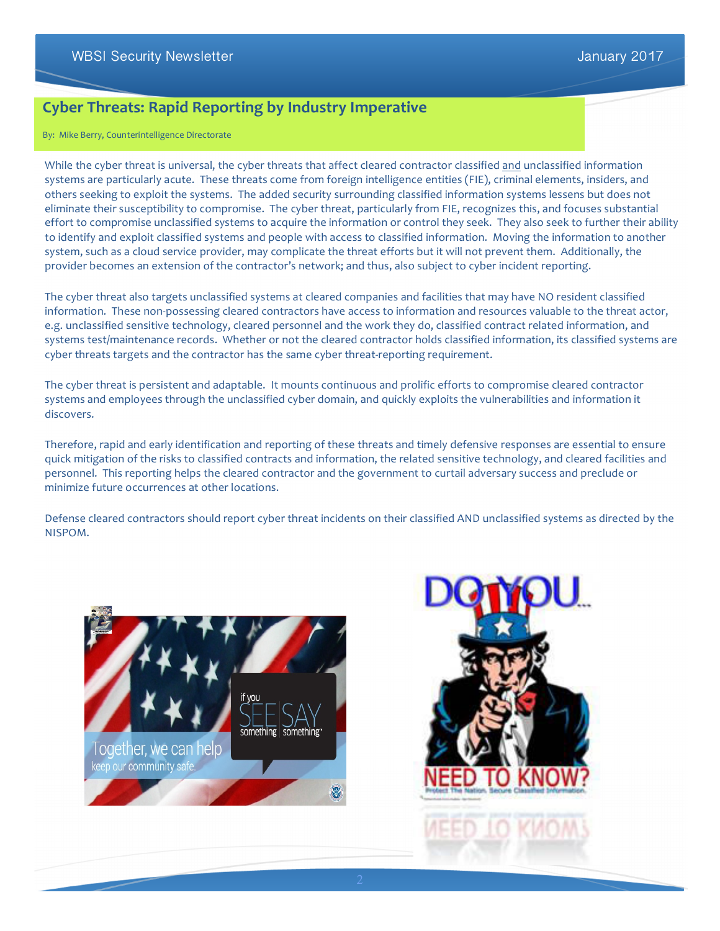## **Cyber Threats: Rapid Reporting by Industry Imperative**

By: Mike Berry, Counterintelligence Directorate

While the cyber threat is universal, the cyber threats that affect cleared contractor classified and unclassified information systems are particularly acute. These threats come from foreign intelligence entities (FIE), criminal elements, insiders, and others seeking to exploit the systems. The added security surrounding classified information systems lessens but does not eliminate their susceptibility to compromise. The cyber threat, particularly from FIE, recognizes this, and focuses substantial effort to compromise unclassified systems to acquire the information or control they seek. They also seek to further their ability to identify and exploit classified systems and people with access to classified information. Moving the information to another system, such as a cloud service provider, may complicate the threat efforts but it will not prevent them. Additionally, the provider becomes an extension of the contractor's network; and thus, also subject to cyber incident reporting.

The cyber threat also targets unclassified systems at cleared companies and facilities that may have NO resident classified information. These non-possessing cleared contractors have access to information and resources valuable to the threat actor, e.g. unclassified sensitive technology, cleared personnel and the work they do, classified contract related information, and systems test/maintenance records. Whether or not the cleared contractor holds classified information, its classified systems are cyber threats targets and the contractor has the same cyber threat-reporting requirement.

The cyber threat is persistent and adaptable. It mounts continuous and prolific efforts to compromise cleared contractor systems and employees through the unclassified cyber domain, and quickly exploits the vulnerabilities and information it discovers.

Therefore, rapid and early identification and reporting of these threats and timely defensive responses are essential to ensure quick mitigation of the risks to classified contracts and information, the related sensitive technology, and cleared facilities and personnel. This reporting helps the cleared contractor and the government to curtail adversary success and preclude or minimize future occurrences at other locations.

Defense cleared contractors should report cyber threat incidents on their classified AND unclassified systems as directed by the NISPOM.